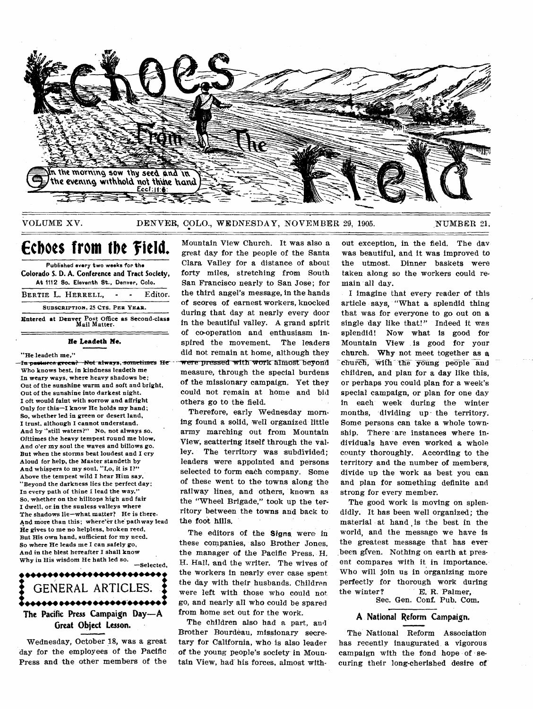

VOLUME XV.

DENVER, COLO., WEDNESDAY, NOVEMBER 29, 1905.

NUMBER 21.

# Echoes from the Field.

Published every two weeks for the Colorado S. D. A. Conference and Tract Society, At 1112 So. Eleventh St., Denver, Colo. BERTIE L. HERRELL. Editor.  $\sim$  $\sim$ 

SUBSCRIPTION, 25 CTS. PER YEAR. Entered at Denver Post Office as Second-class

He Leadeth Me.

#### "He leadeth me,"

In pastures green? Not always, sometimes He Who knows best, in kindness leadeth me In weary ways, where heavy shadows be: Out of the sunshine warm and soft and bright, Out of the sunshine into darkest night. I oft would faint with sorrow and affright Only for this-I know He holds my hand: So, whether led in green or desert land, I trust, although I cannot understand. And by "still waters?" No, not always so, Ofttimes the heavy tempest round me blow. And o'er my soul the waves and billows go. But when the storms beat loudest and I cry Aloud for help, the Master standeth by And whispers to my soul, "Lo, it is I?" Ahove the tempest wild I hear Him say. "Beyond the darkness lies the perfect day; In every path of thine I lead the way.' So, whether on the hilltops high and fair I dwell, or in the sunless valleys where The shadows lie-what matter? He is there. And more than this; where'er the pathway lead He gives to me no helpless, broken reed, But His own hand, sufficient for my need, So where He leads me I can safely go, And in the blest hereafter I shall know Why in His wisdom He hath led so.

-Selected, ,,,,,,,,,,,,,,,,,,,,,,,,,, GENERAL ARTICLES. The Pacific Press Campaign Day-A Great Object Lesson.

Wednesday, October 18, was a great day for the employees of the Pacific Press and the other members of the

Mountain View Church. It was also a great day for the people of the Santa Clara Valley for a distance of about forty miles, stretching from South San Francisco nearly to San Jose; for the third angel's message, in the hands of scores of earnest workers, knocked during that day at nearly every door in the beautiful valley. A grand spirit of co-operation and enthusiasm inspired the movement. The leaders did not remain at home, although they were pressed with work almost beyond measure, through the special burdens of the missionary campaign. Yet they could not remain at home and bid others go to the field.

Therefore, early Wednesday morning found a solid, well organized little army marching out from Mountain View, scattering itself through the valley. The territory was subdivided: leaders were appointed and persons selected to form each company. Some of these went to the towns along the railway lines, and others, known as the "Wheel Brigade," took up the territory between the towns and back to the foot hills.

The editors of the Signs were in these companies, also Brother Jones, the manager of the Pacific Press. H. H. Hall, and the writer. The wives of the workers in nearly ever case spent. the day with their husbands. Children were left with those who could not go, and nearly all who could be spared from home set out for the work.

The children also had a part, and Brother Bourdeau, missionary secretary for California, who is also leader of the young people's society in Mountain View, had his forces, almost without exception, in the field. The day was beautiful, and it was improved to the utmost. Dinner baskets were taken along so the workers could remain all day.

I imagine that every reader of this article says, "What a splendid thing that was for everyone to go out on a single day like that!" Indeed it was splendid! Now what is good for Mountain View is good for your church. Why not meet together as a church, with the young people and children, and plan for a day like this, or perhaps you could plan for a week's special campaign, or plan for one day in each week during the winter months, dividing up the territory. Some persons can take a whole township. There are instances where individuals have even worked a whole county thoroughly. According to the territory and the number of members. divide up the work as best you can and plan for something definite and strong for every member.

The good work is moving on splendidly. It has been well organized; the material at hand is the best in the world, and the message we have is the greatest message that has ever been given. Nothing on earth at present compares with it in importance. Who will join us in organizing more perfectly for thorough work during the winter? E. R. Palmer.

Sec. Gen. Conf. Pub. Com.

#### A National Reform Campaign.

The National Reform Association has recently inaugurated a vigorous campaign with the fond hope of securing their long-cherished desire of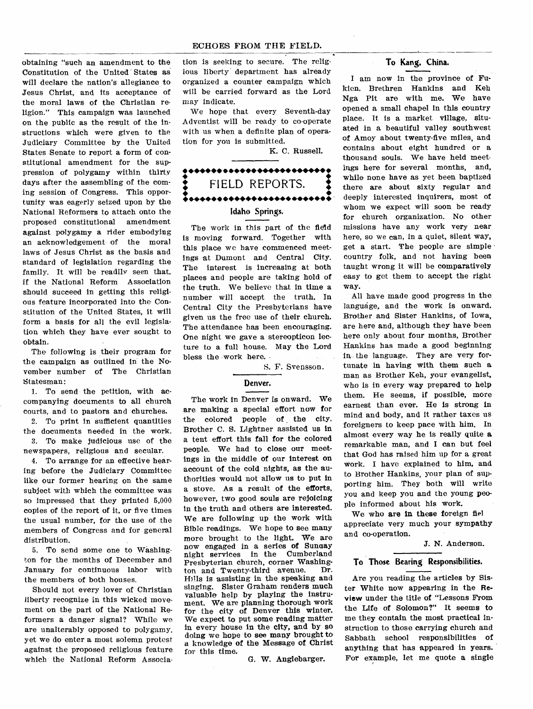#### ECHOES FROM THE FIELD.

obtaining "such an amendment to the Constitution of the United States as will declare the nation's allegiance to Jesus Christ, and its acceptance of the moral laws of the Christian religion." This campaign was launched on the public as the result of the instructions which were given to the Judiciary Committee by the United States Senate to report a form of constitutional amendment for the suppression of polygamy within thirty days after the assembling of the coming session of Congress. This opportunity was eagerly seized upon by the National Reformers to attach onto the proposed constitutional amendment against polygamy a rider embodying an acknowledgement- of the moral laws of Jesus Christ as the basis and standard of legislation regarding the family. It will be readily seen that, if the National Reform Association should succeed in getting this religious feature incorporated into the Constitution of the United States, it will form a basis for all the evil legislation which they have ever sought to obtain.

The following is their program for the campaign as outlined in the November number of The Christian Statesman:

1. To send the petition, with accompanying documents to all church courts, and to pastors and churches.

2. To print in sufficient quantities the documents needed in the work.

3. To make judicious use of the newspapers, religious and secular.

4. To arrange for an effective hearing before the Judiciary Committee like our former hearing on the same subject with which the committee was so impressed that they printed 5,000 copies of the report of it, or five times the usual number, for the use of the members of Congress and for general distribution.

5. To send some one to Washington for the months of December and January for continuous labor with the members of both houses.

Should not every lover of Christian liberty recognize in this wicked movement on the part of the National Reformers a danger signal? While we are unalterably opposed to polygamy. yet we do enter a most solemn protest against the proposed religious feature which the National Reform Associa-

tion is seeking to secure. The religious liberty department has already organized a counter campaign which will be carried forward as the Lord may indicate.

We hope that every Seventh-day Adventist will be ready to co-operate with us when a definite plan of operation for you is submitted.

K. C. Russell.

# •••••••••••••••••••••••••• ♦ FIELD REPORTS. • ••••••••••••••••••••••••••• **Idaho Springs.**

The work in this part of the field is moving forward. Together with this place we have commenced meetings at Dumont and Central City. The interest is increasing at both places and people are taking hold of the truth. We believe that in time a number will accept the truth. In Central City the Presbyterians have given us the free use of their church. The attendance has been encouraging. One night we gave a stereopticon lecture to a full house. May the Lord bless the work here.

#### S. F. Svensson.

### **Denver.**

The work in Denver is onward. We are making a special effort now for the colored people of the city. Brother C. S. Lightner assisted us in a tent effort this fall for the colored people. We had to close our meetings in the middle of our interest on account of the cold nights, as the authorities would not allow us to put in a stove. As a result of the efforts, however, two good souls are rejoicing in the truth and others are interested. We are following up the work with Bible readings. We hope to see many more brought to the light. We are now engaged in a series of Sunnay night services in the Cumberland Presbyterian church, corner Washing-<br>top and Twenty-third avenue. Dr. ton and Twenty-third avenue. Hills is assisting in the speaking and singing. Sister Graham renders much valuable help by playing the instrument. We are planning thorough work for the city of Denver this winter. We expect to put some reading matter in every house in the city, and by so doing we hope to see many brought to a knowledge of the Message of Christ for this time.

G. W. Anglebarger.

#### **To Kang, China.**

I am now in the province of Fukien. Brethren Hankins and Keh Nga Pit are with me. We have opened a small chapel in this country place. It is a market village, situated in a beautiful valley southwest of Amoy about twenty-five miles, and contains about eight hundred or a thousand souls. We have held meetings here for several months, and, while none have as yet been baptized there are about sixty regular and deeply interested inquirers, most of whom we expect will soon be ready for church organization. No other missions have any work very near here, so we can, in a quiet, silent way, get a start. The people are simple country folk, and not having been taught wrong it will be comparatively easy to get them to accept the right way.

All have made good progress in the language, and the work is onward. Brother and Sister Hankins, of Iowa, are here and, although they have been here only about four months, Brother Hankins has made a good beginning in, the language. They are very fortunate in having with them such a man as Brother Keh, your evangelist, who is in every way prepared to help them. He seems, if possible, more earnest than ever. He is strong in mind and body, and it rather taxes us foreigners to keep pace with him. In almost every way he is really quite **a**  remarkable man, and I can but feel that God has raised him up for a great work. I have explained to him, and to Brother Hankins, your plan of supporting him. They both will write you and keep you and the young people informed about his work.

We who **are in** these foreign fiel appreciate very much your sympathy and co-operation.

J. N. Anderson.

#### **To Those Bearing Responsibilities.**

Are you reading the articles by Sister White now appearing in the Review under the title of "Lessons From the Life of Solomon?" It seems to me they contain the most practical instruction to those carrying church and Sabbath school responsibilities of anything that has appeared in years. For example, let me quote a single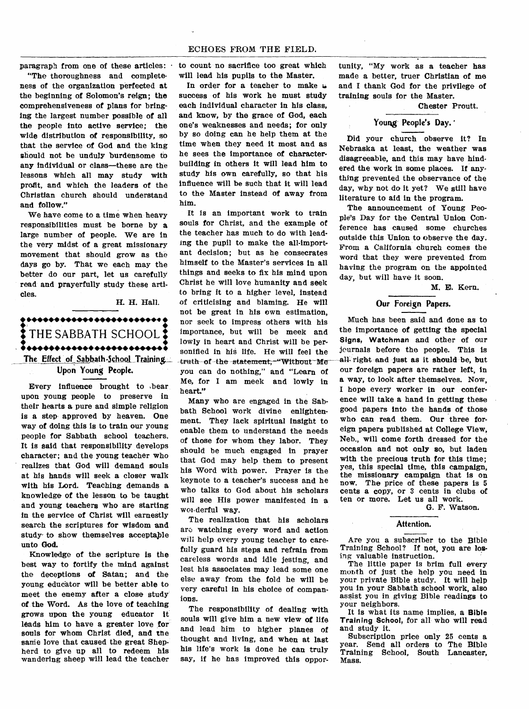#### ECHOES FROM THE FIELD.

**paragraph from one of these articles:** 

**"The thoroughness and completeness of the organization perfected at the beginning of Solomon's reign; the comprehensiveness of plans for bringing the largest number possible of all the people into active service; the wide distribution of responsibility, so that the service of God and the king**  should not be unduly burdensome to **any individual or class—these are the lessons which all may study with profit, and which the leaders of the Christian church should understand and follow."** 

**We have come to a time when heavy responsibilities must be borne by a large number of people. We are in the very midst of a great missionary movement that should grow as the days go by. That we each may the better do our part, let us carefully read and prayerfully study these articles.** 

#### **H. H. Hall.**

**...41\* •••••• •••••• •••••4**♦ **t** THE SABBATH SCHOOL \*\*\*\*\*\*\*\*\*\*\*\*\*\*\*\*\*\*\*\*\*\*\*\*\*\* **The Effect of Sabbath-SchooLTraining"** 

**Upon Young People.** 

**Every influence brought to bear upon young people to preserve in their hearts a pure and simple religion is a step approved by heaven. One way of doing this is to train our young people for Sabbath school teachers. It is said that responsibility develops character; and the young teacher who realizes that God will demand souls at his hands will seek a closer walk with his Lord. Teaching demands a knowledge of the lesson to be taught and young teachers who are starting in the service of Christ will earnestly search the scriptures for wisdom and study to show themselves acceptaple unto God.** 

**Knowledge of the scripture is the best way to fortify the mind against the deceptions of Satan; and the**  young educator will be better able to **meet the enemy after a close study of the Word. As the love of teaching grows upon the young educator it leads him to have a greater love for souls for whom Christ died, and the sane love that caused the great Shepherd to give up all to redeem his wandering sheep will lead the teacher**  **to count no sacrifice too great which will lead his pupils to the Master.** 

**In order for a teacher to make 4, success of his work he must study each individual character in his class, and know, by the grace of God, each one's weaknesses and needs; for only by so doing can he help them at the time when they need it most and as he sees the importance of characterbuilding in others it will lead him to study his own carefully, so that his influence will be such that it will lead to the Master instead of away from him.** 

**It is an important work to train souls for Christ, and the example of the teacher has much to do with leading the pupil to make the all-important decision; but as he consecrates himself to the Master's services in all things and seeks to fix his mind upon Christ he will love humanity and seek to bring it to a higher level, instead of criticising and blaming. He will not be great in his own estimation, nor seek to impress others with his importance, but will be meek and lowly in heart and Christ will be personified in his life. He will feel the**  -truth-of-the-statement.<sup>-"</sup>Without Me **you can do nothing," and "Learn of Me, for I am meek and lowly in heart."** 

**Many who are engaged in the Sabbath School work divine enlightenment. They lack spiritual insight to enable them to understand the needs of those for whom they labor. They should be much engaged in prayer that God may help them to present his Word with power. Prayer is the keynote to a teacher's success** and **he who talks to God about his scholars will see His power manifested in a woi<derful way.** 

**The realization that his scholars aro watching every word and action**  will **help** every young teacher to carefully **guard his steps and refrain from**  careless **words and idle** jesting, and lest **his associates may lead some one else away from the fold he will be very careful in his choice of companions.** 

**The responsibility of dealing with souls will give him a new view of life and lead him to higher planes of thought and living, and when at last his life's work is done he can truly say, if he has improved this oppor-** **tunity, "My work as a teacher has made a better, truer Christian of me and I thank God for the privilege of training souls for the Master.** 

**Chester Proutt.** 

#### Young People's Day.

**Did your church observe it? In Nebraska at least, the weather was disagreeable, and this may have hindered the work in some places. If anything prevented the observance of the day, why not do it yet? We still have literature to aid in the program.** 

**The announcement of Young People's Day for the Central Union Conference has caused some churches outside this Union to observe the day. From a California church comes the word that they were prevented from having the program on the appointed day, but will have it soon.** 

**M. E. Kern.** 

# **Our Foreign Papers.**

**Much has been said and done as to the importance of getting the special Signs, Watchman and other of our journals before the people. This is all- right and Just as it should be, but our foreign papers are rather left, in a way, to look after themselves. Now, I hope every worker in our conference will take a hand in getting these good papers into the hands of those who can read them. Our three foreign papers published at College View, Neb., will come forth dressed for the occasion and not only so, but laden with the precious truth for this time; yes, this special time, this campaign, the missionary campaign that is on now. The price of these papers is 5 cents a copy, or** 3 **cents in clubs of ten or more. Let us all work.** 

**G. F. Watson.** 

#### **Attention.**

Are you a subscriber **to the Bible Training School? If not, you are losing valuable instruction.** 

**The little paper is brim full every month of just the help you need in your private Bible study. It will help you in your Sabbath school work, also assist you in giving Bible readings to your neighbors.** 

**It is what its name implies, a Bible Training School, for all who will read and study it.** 

**Subscription price only 25 cents a year. Send all orders to The Bible Training School, South Lancaster, Mass.**